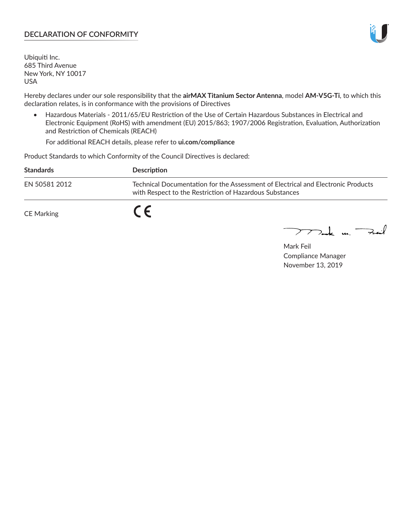### **DECLARATION OF CONFORMITY**

Ubiquiti Inc. 685 Third Avenue New York, NY 10017 USA

Hereby declares under our sole responsibility that the **airMAX Titanium Sector Antenna**, model **AM-V5G-Ti**, to which this declaration relates, is in conformance with the provisions of Directives

• Hazardous Materials - 2011/65/EU Restriction of the Use of Certain Hazardous Substances in Electrical and Electronic Equipment (RoHS) with amendment (EU) 2015/863; 1907/2006 Registration, Evaluation, Authorization and Restriction of Chemicals (REACH)

For additional REACH details, please refer to **ui.com/compliance**

Product Standards to which Conformity of the Council Directives is declared:

| <b>Standards</b> | <b>Description</b>                                                                                                                          |
|------------------|---------------------------------------------------------------------------------------------------------------------------------------------|
| EN 50581 2012    | Technical Documentation for the Assessment of Electrical and Electronic Products<br>with Respect to the Restriction of Hazardous Substances |
| CE Marking       |                                                                                                                                             |

 $\sum_{n=1}^{\infty}$  un  $\sum_{n=1}^{\infty}$ 

Mark Feil Compliance Manager November 13, 2019

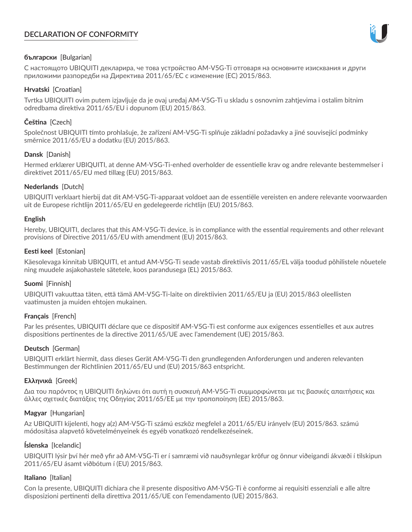# **DECLARATION OF CONFORMITY**



## **български** [Bulgarian]

С настоящото UBIQUITI декларира, че това устройство AM-V5G-Ti отговаря на основните изисквания и други приложими разпоредби на Директива 2011/65/ЕС с изменение (ЕС) 2015/863.

### **Hrvatski** [Croatian]

Tvrtka UBIQUITI ovim putem izjavljuje da je ovaj uređaj AM-V5G-Ti u skladu s osnovnim zahtjevima i ostalim bitnim odredbama direktiva 2011/65/EU i dopunom (EU) 2015/863.

# **Čeština** [Czech]

Společnost UBIQUITI tímto prohlašuje, že zařízení AM-V5G-Ti splňuje základní požadavky a jiné související podmínky směrnice 2011/65/EU a dodatku (EU) 2015/863.

### **Dansk** [Danish]

Hermed erklærer UBIQUITI, at denne AM-V5G-Ti-enhed overholder de essentielle krav og andre relevante bestemmelser i direktivet 2011/65/EU med tillæg (EU) 2015/863.

### **Nederlands** [Dutch]

UBIQUITI verklaart hierbij dat dit AM-V5G-Ti-apparaat voldoet aan de essentiële vereisten en andere relevante voorwaarden uit de Europese richtlijn 2011/65/EU en gedelegeerde richtlijn (EU) 2015/863.

#### **English**

Hereby, UBIQUITI, declares that this AM-V5G-Ti device, is in compliance with the essential requirements and other relevant provisions of Directive 2011/65/EU with amendment (EU) 2015/863.

### **Eesti keel** [Estonian]

Käesolevaga kinnitab UBIQUITI, et antud AM-V5G-Ti seade vastab direktiivis 2011/65/EL välja toodud põhilistele nõuetele ning muudele asjakohastele sätetele, koos parandusega (EL) 2015/863.

## **Suomi** [Finnish]

UBIQUITI vakuuttaa täten, että tämä AM-V5G-Ti-laite on direktiivien 2011/65/EU ja (EU) 2015/863 oleellisten vaatimusten ja muiden ehtojen mukainen.

#### **Français** [French]

Par les présentes, UBIQUITI déclare que ce dispositif AM-V5G-Ti est conforme aux exigences essentielles et aux autres dispositions pertinentes de la directive 2011/65/UE avec l'amendement (UE) 2015/863.

## **Deutsch** [German]

UBIQUITI erklärt hiermit, dass dieses Gerät AM-V5G-Ti den grundlegenden Anforderungen und anderen relevanten Bestimmungen der Richtlinien 2011/65/EU und (EU) 2015/863 entspricht.

#### **Ελληνικά** [Greek]

Δια του παρόντος η UBIQUITI δηλώνει ότι αυτή η συσκευή AM-V5G-Ti συμμορφώνεται με τις βασικές απαιτήσεις και άλλες σχετικές διατάξεις της Οδηγίας 2011/65/ΕΕ με την τροποποίηση (ΕΕ) 2015/863.

## **Magyar** [Hungarian]

Az UBIQUITI kijelenti, hogy a(z) AM-V5G-Ti számú eszköz megfelel a 2011/65/EU irányelv (EU) 2015/863. számú módosítása alapvető követelményeinek és egyéb vonatkozó rendelkezéseinek.

#### **Íslenska** [Icelandic]

UBIQUITI lýsir því hér með yfir að AM-V5G-Ti er í samræmi við nauðsynlegar kröfur og önnur viðeigandi ákvæði í tilskipun 2011/65/EU ásamt viðbótum í (EU) 2015/863.

#### **Italiano** [Italian]

Con la presente, UBIQUITI dichiara che il presente dispositivo AM-V5G-Ti è conforme ai requisiti essenziali e alle altre disposizioni pertinenti della direttiva 2011/65/UE con l'emendamento (UE) 2015/863.